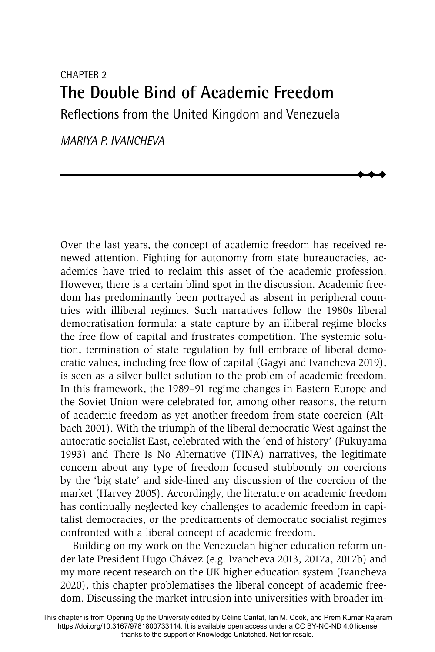# CHAPTER 2 **The Double Bind of Academic Freedom** Reflections from the United Kingdom and Venezuela

 $\ddot{\bullet}$  $\blacklozenge$  $\blacklozenge$ 

*MARIYA P. IVANCHEVA*

Over the last years, the concept of academic freedom has received renewed attention. Fighting for autonomy from state bureaucracies, academics have tried to reclaim this asset of the academic profession. However, there is a certain blind spot in the discussion. Academic freedom has predominantly been portrayed as absent in peripheral countries with illiberal regimes. Such narratives follow the 1980s liberal democratisation formula: a state capture by an illiberal regime blocks the free flow of capital and frustrates competition. The systemic solution, termination of state regulation by full embrace of liberal democratic values, including free flow of capital (Gagyi and Ivancheva 2019), is seen as a silver bullet solution to the problem of academic freedom. In this framework, the 1989–91 regime changes in Eastern Europe and the Soviet Union were celebrated for, among other reasons, the return of academic freedom as yet another freedom from state coercion (Altbach 2001). With the triumph of the liberal democratic West against the autocratic socialist East, celebrated with the 'end of history' (Fukuyama 1993) and There Is No Alternative (TINA) narratives, the legitimate concern about any type of freedom focused stubbornly on coercions by the 'big state' and side-lined any discussion of the coercion of the market (Harvey 2005). Accordingly, the literature on academic freedom has continually neglected key challenges to academic freedom in capitalist democracies, or the predicaments of democratic socialist regimes confronted with a liberal concept of academic freedom.

Building on my work on the Venezuelan higher education reform under late President Hugo Chávez (e.g. Ivancheva 2013, 2017a, 2017b) and my more recent research on the UK higher education system (Ivancheva 2020), this chapter problematises the liberal concept of academic freedom. Discussing the market intrusion into universities with broader im-

This chapter is from Opening Up the University edited by Céline Cantat, Ian M. Cook, and Prem Kumar Rajaram https://doi.org/10.3167/9781800733114. It is available open access under a CC BY-NC-ND 4.0 license thanks to the support of Knowledge Unlatched. Not for resale.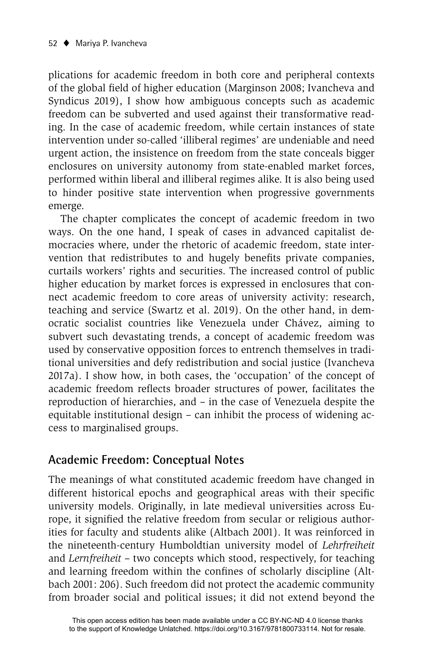plications for academic freedom in both core and peripheral contexts of the global field of higher education (Marginson 2008; Ivancheva and Syndicus 2019), I show how ambiguous concepts such as academic freedom can be subverted and used against their transformative reading. In the case of academic freedom, while certain instances of state intervention under so-called 'illiberal regimes' are undeniable and need urgent action, the insistence on freedom from the state conceals bigger enclosures on university autonomy from state-enabled market forces, performed within liberal and illiberal regimes alike. It is also being used to hinder positive state intervention when progressive governments emerge.

The chapter complicates the concept of academic freedom in two ways. On the one hand, I speak of cases in advanced capitalist democracies where, under the rhetoric of academic freedom, state intervention that redistributes to and hugely benefits private companies, curtails workers' rights and securities. The increased control of public higher education by market forces is expressed in enclosures that connect academic freedom to core areas of university activity: research, teaching and service (Swartz et al. 2019). On the other hand, in democratic socialist countries like Venezuela under Chávez, aiming to subvert such devastating trends, a concept of academic freedom was used by conservative opposition forces to entrench themselves in traditional universities and defy redistribution and social justice (Ivancheva 2017a). I show how, in both cases, the 'occupation' of the concept of academic freedom reflects broader structures of power, facilitates the reproduction of hierarchies, and – in the case of Venezuela despite the equitable institutional design – can inhibit the process of widening access to marginalised groups.

#### **Academic Freedom: Conceptual Notes**

The meanings of what constituted academic freedom have changed in different historical epochs and geographical areas with their specific university models. Originally, in late medieval universities across Europe, it signified the relative freedom from secular or religious authorities for faculty and students alike (Altbach 2001). It was reinforced in the nineteenth-century Humboldtian university model of *Lehrfreiheit*  and *Lernfreiheit* – two concepts which stood, respectively, for teaching and learning freedom within the confines of scholarly discipline (Altbach 2001: 206). Such freedom did not protect the academic community from broader social and political issues; it did not extend beyond the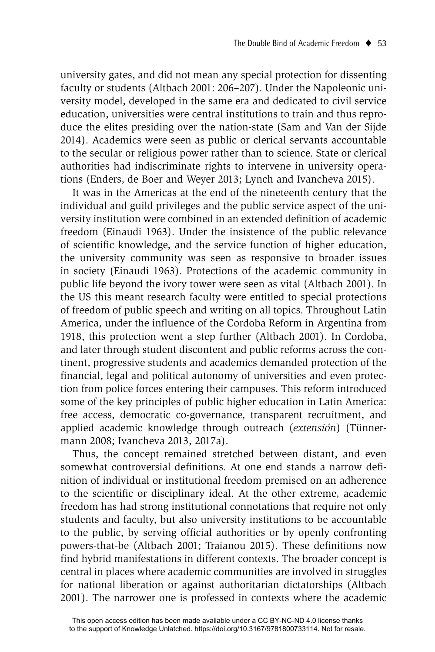university gates, and did not mean any special protection for dissenting faculty or students (Altbach 2001: 206–207). Under the Napoleonic university model, developed in the same era and dedicated to civil service education, universities were central institutions to train and thus reproduce the elites presiding over the nation-state (Sam and Van der Sijde 2014). Academics were seen as public or clerical servants accountable to the secular or religious power rather than to science. State or clerical authorities had indiscriminate rights to intervene in university operations (Enders, de Boer and Weyer 2013; Lynch and Ivancheva 2015).

It was in the Americas at the end of the nineteenth century that the individual and guild privileges and the public service aspect of the university institution were combined in an extended definition of academic freedom (Einaudi 1963). Under the insistence of the public relevance of scientific knowledge, and the service function of higher education, the university community was seen as responsive to broader issues in society (Einaudi 1963). Protections of the academic community in public life beyond the ivory tower were seen as vital (Altbach 2001). In the US this meant research faculty were entitled to special protections of freedom of public speech and writing on all topics. Throughout Latin America, under the influence of the Cordoba Reform in Argentina from 1918, this protection went a step further (Altbach 2001). In Cordoba, and later through student discontent and public reforms across the continent, progressive students and academics demanded protection of the financial, legal and political autonomy of universities and even protection from police forces entering their campuses. This reform introduced some of the key principles of public higher education in Latin America: free access, democratic co-governance, transparent recruitment, and applied academic knowledge through outreach (*extensión*) (Tünnermann 2008; Ivancheva 2013, 2017a).

Thus, the concept remained stretched between distant, and even somewhat controversial definitions. At one end stands a narrow definition of individual or institutional freedom premised on an adherence to the scientific or disciplinary ideal. At the other extreme, academic freedom has had strong institutional connotations that require not only students and faculty, but also university institutions to be accountable to the public, by serving official authorities or by openly confronting powers-that-be (Altbach 2001; Traianou 2015). These definitions now find hybrid manifestations in different contexts. The broader concept is central in places where academic communities are involved in struggles for national liberation or against authoritarian dictatorships (Altbach 2001). The narrower one is professed in contexts where the academic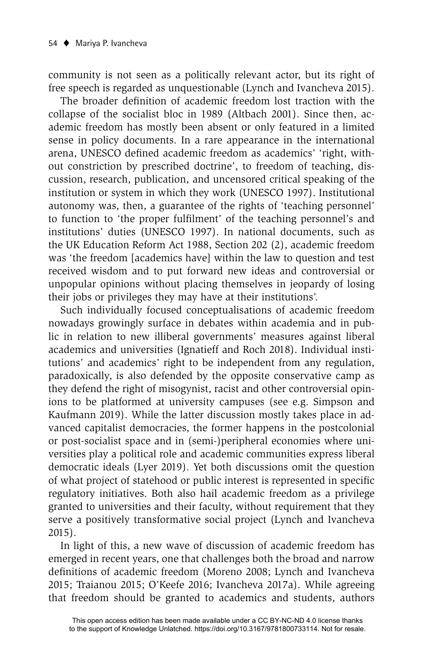community is not seen as a politically relevant actor, but its right of free speech is regarded as unquestionable (Lynch and Ivancheva 2015).

The broader definition of academic freedom lost traction with the collapse of the socialist bloc in 1989 (Altbach 2001). Since then, academic freedom has mostly been absent or only featured in a limited sense in policy documents. In a rare appearance in the international arena, UNESCO defined academic freedom as academics' 'right, without constriction by prescribed doctrine', to freedom of teaching, discussion, research, publication, and uncensored critical speaking of the institution or system in which they work (UNESCO 1997). Institutional autonomy was, then, a guarantee of the rights of 'teaching personnel' to function to 'the proper fulfilment' of the teaching personnel's and institutions' duties (UNESCO 1997). In national documents, such as the UK Education Reform Act 1988, Section 202 (2), academic freedom was 'the freedom [academics have] within the law to question and test received wisdom and to put forward new ideas and controversial or unpopular opinions without placing themselves in jeopardy of losing their jobs or privileges they may have at their institutions'.

Such individually focused conceptualisations of academic freedom nowadays growingly surface in debates within academia and in public in relation to new illiberal governments' measures against liberal academics and universities (Ignatieff and Roch 2018). Individual institutions' and academics' right to be independent from any regulation, paradoxically, is also defended by the opposite conservative camp as they defend the right of misogynist, racist and other controversial opinions to be platformed at university campuses (see e.g. Simpson and Kaufmann 2019). While the latter discussion mostly takes place in advanced capitalist democracies, the former happens in the postcolonial or post-socialist space and in (semi-)peripheral economies where universities play a political role and academic communities express liberal democratic ideals (Lyer 2019). Yet both discussions omit the question of what project of statehood or public interest is represented in specific regulatory initiatives. Both also hail academic freedom as a privilege granted to universities and their faculty, without requirement that they serve a positively transformative social project (Lynch and Ivancheva 2015).

In light of this, a new wave of discussion of academic freedom has emerged in recent years, one that challenges both the broad and narrow definitions of academic freedom (Moreno 2008; Lynch and Ivancheva 2015; Traianou 2015; O'Keefe 2016; Ivancheva 2017a). While agreeing that freedom should be granted to academics and students, authors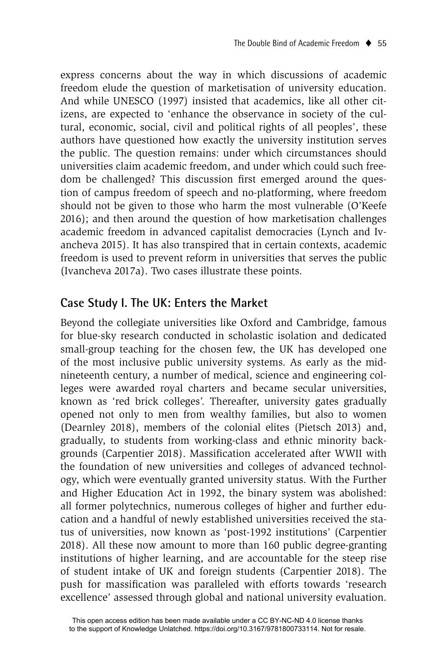express concerns about the way in which discussions of academic freedom elude the question of marketisation of university education. And while UNESCO (1997) insisted that academics, like all other citizens, are expected to 'enhance the observance in society of the cultural, economic, social, civil and political rights of all peoples', these authors have questioned how exactly the university institution serves the public. The question remains: under which circumstances should universities claim academic freedom, and under which could such freedom be challenged? This discussion first emerged around the question of campus freedom of speech and no-platforming, where freedom should not be given to those who harm the most vulnerable (O'Keefe 2016); and then around the question of how marketisation challenges academic freedom in advanced capitalist democracies (Lynch and Ivancheva 2015). It has also transpired that in certain contexts, academic freedom is used to prevent reform in universities that serves the public (Ivancheva 2017a). Two cases illustrate these points.

# **Case Study I. The UK: Enters the Market**

Beyond the collegiate universities like Oxford and Cambridge, famous for blue-sky research conducted in scholastic isolation and dedicated small-group teaching for the chosen few, the UK has developed one of the most inclusive public university systems. As early as the midnineteenth century, a number of medical, science and engineering colleges were awarded royal charters and became secular universities, known as 'red brick colleges'. Thereafter, university gates gradually opened not only to men from wealthy families, but also to women (Dearnley 2018), members of the colonial elites (Pietsch 2013) and, gradually, to students from working-class and ethnic minority backgrounds (Carpentier 2018). Massification accelerated after WWII with the foundation of new universities and colleges of advanced technology, which were eventually granted university status. With the Further and Higher Education Act in 1992, the binary system was abolished: all former polytechnics, numerous colleges of higher and further education and a handful of newly established universities received the status of universities, now known as 'post-1992 institutions' (Carpentier 2018). All these now amount to more than 160 public degree-granting institutions of higher learning, and are accountable for the steep rise of student intake of UK and foreign students (Carpentier 2018). The push for massification was paralleled with efforts towards 'research excellence' assessed through global and national university evaluation.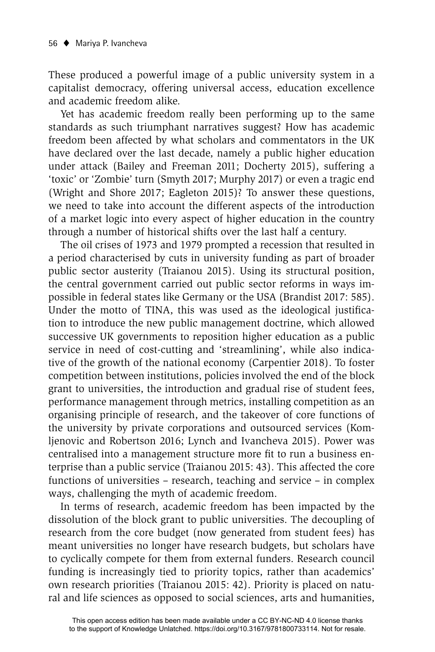These produced a powerful image of a public university system in a capitalist democracy, offering universal access, education excellence and academic freedom alike.

Yet has academic freedom really been performing up to the same standards as such triumphant narratives suggest? How has academic freedom been affected by what scholars and commentators in the UK have declared over the last decade, namely a public higher education under attack (Bailey and Freeman 2011; Docherty 2015), suffering a 'toxic' or 'Zombie' turn (Smyth 2017; Murphy 2017) or even a tragic end (Wright and Shore 2017; Eagleton 2015)? To answer these questions, we need to take into account the different aspects of the introduction of a market logic into every aspect of higher education in the country through a number of historical shifts over the last half a century.

The oil crises of 1973 and 1979 prompted a recession that resulted in a period characterised by cuts in university funding as part of broader public sector austerity (Traianou 2015). Using its structural position, the central government carried out public sector reforms in ways impossible in federal states like Germany or the USA (Brandist 2017: 585). Under the motto of TINA, this was used as the ideological justification to introduce the new public management doctrine, which allowed successive UK governments to reposition higher education as a public service in need of cost-cutting and 'streamlining', while also indicative of the growth of the national economy (Carpentier 2018). To foster competition between institutions, policies involved the end of the block grant to universities, the introduction and gradual rise of student fees, performance management through metrics, installing competition as an organising principle of research, and the takeover of core functions of the university by private corporations and outsourced services (Komljenovic and Robertson 2016; Lynch and Ivancheva 2015). Power was centralised into a management structure more fit to run a business enterprise than a public service (Traianou 2015: 43). This affected the core functions of universities – research, teaching and service – in complex ways, challenging the myth of academic freedom.

In terms of research, academic freedom has been impacted by the dissolution of the block grant to public universities. The decoupling of research from the core budget (now generated from student fees) has meant universities no longer have research budgets, but scholars have to cyclically compete for them from external funders. Research council funding is increasingly tied to priority topics, rather than academics' own research priorities (Traianou 2015: 42). Priority is placed on natural and life sciences as opposed to social sciences, arts and humanities,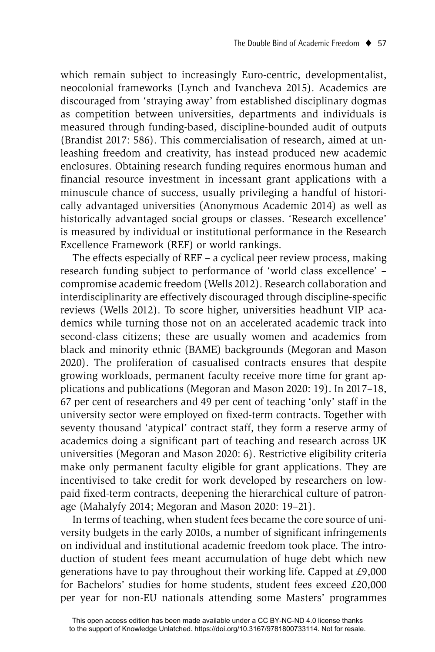which remain subject to increasingly Euro-centric, developmentalist, neocolonial frameworks (Lynch and Ivancheva 2015). Academics are discouraged from 'straying away' from established disciplinary dogmas as competition between universities, departments and individuals is measured through funding-based, discipline-bounded audit of outputs (Brandist 2017: 586). This commercialisation of research, aimed at unleashing freedom and creativity, has instead produced new academic enclosures. Obtaining research funding requires enormous human and financial resource investment in incessant grant applications with a minuscule chance of success, usually privileging a handful of historically advantaged universities (Anonymous Academic 2014) as well as historically advantaged social groups or classes. 'Research excellence' is measured by individual or institutional performance in the Research Excellence Framework (REF) or world rankings.

The effects especially of REF – a cyclical peer review process, making research funding subject to performance of 'world class excellence' – compromise academic freedom (Wells 2012). Research collaboration and interdisciplinarity are effectively discouraged through discipline-specific reviews (Wells 2012). To score higher, universities headhunt VIP academics while turning those not on an accelerated academic track into second-class citizens; these are usually women and academics from black and minority ethnic (BAME) backgrounds (Megoran and Mason 2020). The proliferation of casualised contracts ensures that despite growing workloads, permanent faculty receive more time for grant applications and publications (Megoran and Mason 2020: 19). In 2017–18, 67 per cent of researchers and 49 per cent of teaching 'only' staff in the university sector were employed on fixed-term contracts. Together with seventy thousand 'atypical' contract staff, they form a reserve army of academics doing a significant part of teaching and research across UK universities (Megoran and Mason 2020: 6). Restrictive eligibility criteria make only permanent faculty eligible for grant applications. They are incentivised to take credit for work developed by researchers on lowpaid fixed-term contracts, deepening the hierarchical culture of patronage (Mahalyfy 2014; Megoran and Mason 2020: 19–21).

In terms of teaching, when student fees became the core source of university budgets in the early 2010s, a number of significant infringements on individual and institutional academic freedom took place. The introduction of student fees meant accumulation of huge debt which new generations have to pay throughout their working life. Capped at £9,000 for Bachelors' studies for home students, student fees exceed £20,000 per year for non-EU nationals attending some Masters' programmes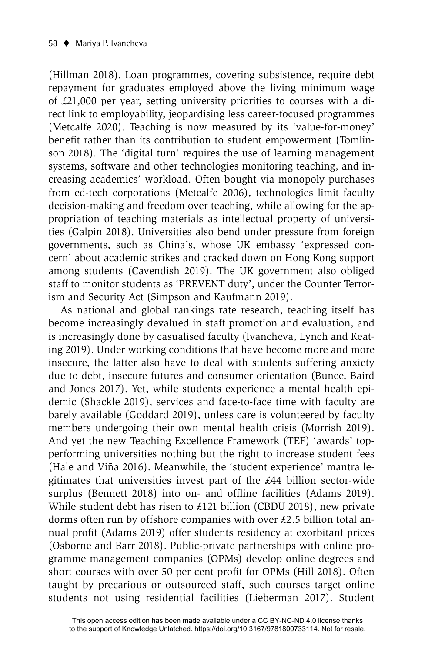(Hillman 2018). Loan programmes, covering subsistence, require debt repayment for graduates employed above the living minimum wage of £21,000 per year, setting university priorities to courses with a direct link to employability, jeopardising less career-focused programmes (Metcalfe 2020). Teaching is now measured by its 'value-for-money' benefit rather than its contribution to student empowerment (Tomlinson 2018). The 'digital turn' requires the use of learning management systems, software and other technologies monitoring teaching, and increasing academics' workload. Often bought via monopoly purchases from ed-tech corporations (Metcalfe 2006), technologies limit faculty decision-making and freedom over teaching, while allowing for the appropriation of teaching materials as intellectual property of universities (Galpin 2018). Universities also bend under pressure from foreign governments, such as China's, whose UK embassy 'expressed concern' about academic strikes and cracked down on Hong Kong support among students (Cavendish 2019). The UK government also obliged staff to monitor students as 'PREVENT duty', under the Counter Terrorism and Security Act (Simpson and Kaufmann 2019).

As national and global rankings rate research, teaching itself has become increasingly devalued in staff promotion and evaluation, and is increasingly done by casualised faculty (Ivancheva, Lynch and Keating 2019). Under working conditions that have become more and more insecure, the latter also have to deal with students suffering anxiety due to debt, insecure futures and consumer orientation (Bunce, Baird and Jones 2017). Yet, while students experience a mental health epidemic (Shackle 2019), services and face-to-face time with faculty are barely available (Goddard 2019), unless care is volunteered by faculty members undergoing their own mental health crisis (Morrish 2019). And yet the new Teaching Excellence Framework (TEF) 'awards' topperforming universities nothing but the right to increase student fees (Hale and Viña 2016). Meanwhile, the 'student experience' mantra legitimates that universities invest part of the £44 billion sector-wide surplus (Bennett 2018) into on- and offline facilities (Adams 2019). While student debt has risen to £121 billion (CBDU 2018), new private dorms often run by offshore companies with over £2.5 billion total annual profit (Adams 2019) offer students residency at exorbitant prices (Osborne and Barr 2018). Public-private partnerships with online programme management companies (OPMs) develop online degrees and short courses with over 50 per cent profit for OPMs (Hill 2018). Often taught by precarious or outsourced staff, such courses target online students not using residential facilities (Lieberman 2017). Student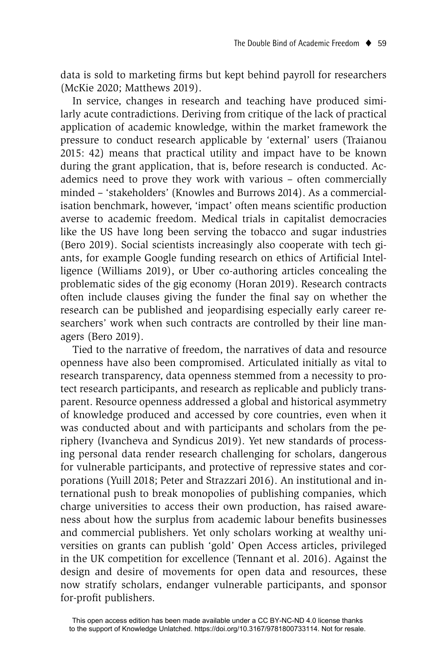data is sold to marketing firms but kept behind payroll for researchers (McKie 2020; Matthews 2019).

In service, changes in research and teaching have produced similarly acute contradictions. Deriving from critique of the lack of practical application of academic knowledge, within the market framework the pressure to conduct research applicable by 'external' users (Traianou 2015: 42) means that practical utility and impact have to be known during the grant application, that is, before research is conducted. Academics need to prove they work with various – often commercially minded – 'stakeholders' (Knowles and Burrows 2014). As a commercialisation benchmark, however, 'impact' often means scientific production averse to academic freedom. Medical trials in capitalist democracies like the US have long been serving the tobacco and sugar industries (Bero 2019). Social scientists increasingly also cooperate with tech giants, for example Google funding research on ethics of Artificial Intelligence (Williams 2019), or Uber co-authoring articles concealing the problematic sides of the gig economy (Horan 2019). Research contracts often include clauses giving the funder the final say on whether the research can be published and jeopardising especially early career researchers' work when such contracts are controlled by their line managers (Bero 2019).

Tied to the narrative of freedom, the narratives of data and resource openness have also been compromised. Articulated initially as vital to research transparency, data openness stemmed from a necessity to protect research participants, and research as replicable and publicly transparent. Resource openness addressed a global and historical asymmetry of knowledge produced and accessed by core countries, even when it was conducted about and with participants and scholars from the periphery (Ivancheva and Syndicus 2019). Yet new standards of processing personal data render research challenging for scholars, dangerous for vulnerable participants, and protective of repressive states and corporations (Yuill 2018; Peter and Strazzari 2016). An institutional and international push to break monopolies of publishing companies, which charge universities to access their own production, has raised awareness about how the surplus from academic labour benefits businesses and commercial publishers. Yet only scholars working at wealthy universities on grants can publish 'gold' Open Access articles, privileged in the UK competition for excellence (Tennant et al. 2016). Against the design and desire of movements for open data and resources, these now stratify scholars, endanger vulnerable participants, and sponsor for-profit publishers.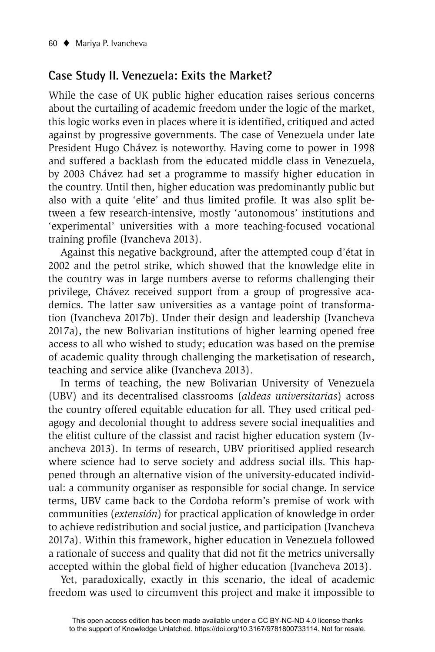## **Case Study II. Venezuela: Exits the Market?**

While the case of UK public higher education raises serious concerns about the curtailing of academic freedom under the logic of the market, this logic works even in places where it is identified, critiqued and acted against by progressive governments. The case of Venezuela under late President Hugo Chávez is noteworthy. Having come to power in 1998 and suffered a backlash from the educated middle class in Venezuela, by 2003 Chávez had set a programme to massify higher education in the country. Until then, higher education was predominantly public but also with a quite 'elite' and thus limited profile. It was also split between a few research-intensive, mostly 'autonomous' institutions and 'experimental' universities with a more teaching-focused vocational training profile (Ivancheva 2013).

Against this negative background, after the attempted coup d'état in 2002 and the petrol strike, which showed that the knowledge elite in the country was in large numbers averse to reforms challenging their privilege, Chávez received support from a group of progressive academics. The latter saw universities as a vantage point of transformation (Ivancheva 2017b). Under their design and leadership (Ivancheva 2017a), the new Bolivarian institutions of higher learning opened free access to all who wished to study; education was based on the premise of academic quality through challenging the marketisation of research, teaching and service alike (Ivancheva 2013).

In terms of teaching, the new Bolivarian University of Venezuela (UBV) and its decentralised classrooms (*aldeas universitarias*) across the country offered equitable education for all. They used critical pedagogy and decolonial thought to address severe social inequalities and the elitist culture of the classist and racist higher education system (Ivancheva 2013). In terms of research, UBV prioritised applied research where science had to serve society and address social ills. This happened through an alternative vision of the university-educated individual: a community organiser as responsible for social change. In service terms, UBV came back to the Cordoba reform's premise of work with communities (*extensión*) for practical application of knowledge in order to achieve redistribution and social justice, and participation (Ivancheva 2017a). Within this framework, higher education in Venezuela followed a rationale of success and quality that did not fit the metrics universally accepted within the global field of higher education (Ivancheva 2013).

Yet, paradoxically, exactly in this scenario, the ideal of academic freedom was used to circumvent this project and make it impossible to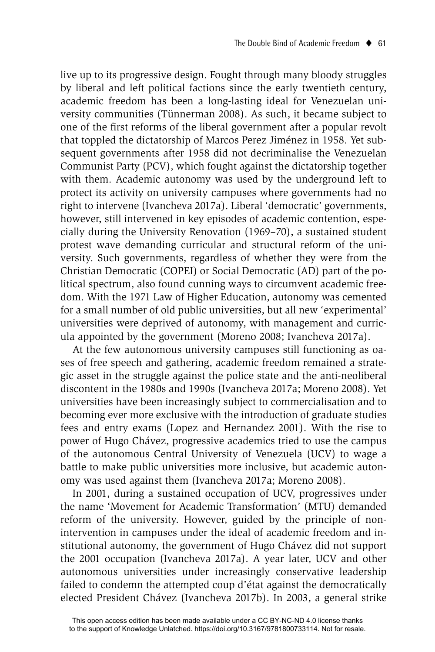live up to its progressive design. Fought through many bloody struggles by liberal and left political factions since the early twentieth century, academic freedom has been a long-lasting ideal for Venezuelan university communities (Tünnerman 2008). As such, it became subject to one of the first reforms of the liberal government after a popular revolt that toppled the dictatorship of Marcos Perez Jiménez in 1958. Yet subsequent governments after 1958 did not decriminalise the Venezuelan Communist Party (PCV), which fought against the dictatorship together with them. Academic autonomy was used by the underground left to protect its activity on university campuses where governments had no right to intervene (Ivancheva 2017a). Liberal 'democratic' governments, however, still intervened in key episodes of academic contention, especially during the University Renovation (1969–70), a sustained student protest wave demanding curricular and structural reform of the university. Such governments, regardless of whether they were from the Christian Democratic (COPEI) or Social Democratic (AD) part of the political spectrum, also found cunning ways to circumvent academic freedom. With the 1971 Law of Higher Education, autonomy was cemented for a small number of old public universities, but all new 'experimental' universities were deprived of autonomy, with management and curricula appointed by the government (Moreno 2008; Ivancheva 2017a).

At the few autonomous university campuses still functioning as oases of free speech and gathering, academic freedom remained a strategic asset in the struggle against the police state and the anti-neoliberal discontent in the 1980s and 1990s (Ivancheva 2017a; Moreno 2008). Yet universities have been increasingly subject to commercialisation and to becoming ever more exclusive with the introduction of graduate studies fees and entry exams (Lopez and Hernandez 2001). With the rise to power of Hugo Chávez, progressive academics tried to use the campus of the autonomous Central University of Venezuela (UCV) to wage a battle to make public universities more inclusive, but academic autonomy was used against them (Ivancheva 2017a; Moreno 2008).

In 2001, during a sustained occupation of UCV, progressives under the name 'Movement for Academic Transformation' (MTU) demanded reform of the university. However, guided by the principle of nonintervention in campuses under the ideal of academic freedom and institutional autonomy, the government of Hugo Chávez did not support the 2001 occupation (Ivancheva 2017a). A year later, UCV and other autonomous universities under increasingly conservative leadership failed to condemn the attempted coup d'état against the democratically elected President Chávez (Ivancheva 2017b). In 2003, a general strike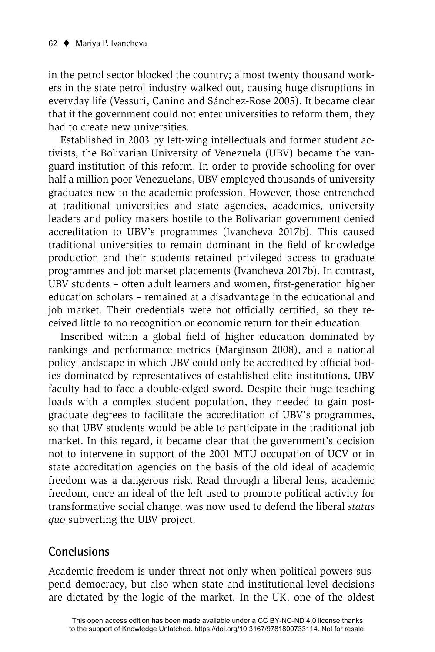in the petrol sector blocked the country; almost twenty thousand workers in the state petrol industry walked out, causing huge disruptions in everyday life (Vessuri, Canino and Sánchez-Rose 2005). It became clear that if the government could not enter universities to reform them, they had to create new universities.

Established in 2003 by left-wing intellectuals and former student activists, the Bolivarian University of Venezuela (UBV) became the vanguard institution of this reform. In order to provide schooling for over half a million poor Venezuelans, UBV employed thousands of university graduates new to the academic profession. However, those entrenched at traditional universities and state agencies, academics, university leaders and policy makers hostile to the Bolivarian government denied accreditation to UBV's programmes (Ivancheva 2017b). This caused traditional universities to remain dominant in the field of knowledge production and their students retained privileged access to graduate programmes and job market placements (Ivancheva 2017b). In contrast, UBV students – often adult learners and women, first-generation higher education scholars – remained at a disadvantage in the educational and job market. Their credentials were not officially certified, so they received little to no recognition or economic return for their education.

Inscribed within a global field of higher education dominated by rankings and performance metrics (Marginson 2008), and a national policy landscape in which UBV could only be accredited by official bodies dominated by representatives of established elite institutions, UBV faculty had to face a double-edged sword. Despite their huge teaching loads with a complex student population, they needed to gain postgraduate degrees to facilitate the accreditation of UBV's programmes, so that UBV students would be able to participate in the traditional job market. In this regard, it became clear that the government's decision not to intervene in support of the 2001 MTU occupation of UCV or in state accreditation agencies on the basis of the old ideal of academic freedom was a dangerous risk. Read through a liberal lens, academic freedom, once an ideal of the left used to promote political activity for transformative social change, was now used to defend the liberal *status quo* subverting the UBV project.

## **Conclusions**

Academic freedom is under threat not only when political powers suspend democracy, but also when state and institutional-level decisions are dictated by the logic of the market. In the UK, one of the oldest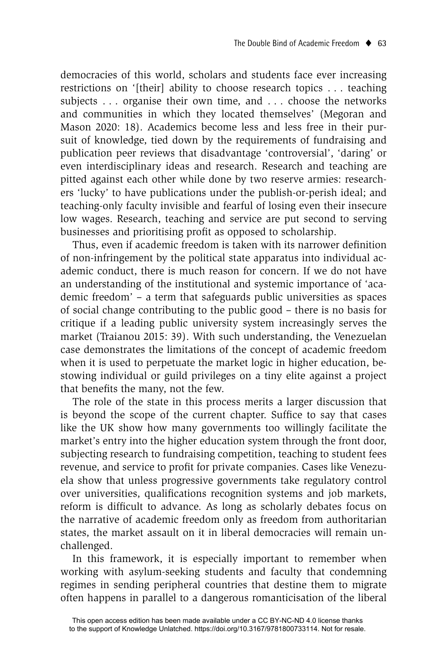democracies of this world, scholars and students face ever increasing restrictions on '[their] ability to choose research topics . . . teaching subjects . . . organise their own time, and . . . choose the networks and communities in which they located themselves' (Megoran and Mason 2020: 18). Academics become less and less free in their pursuit of knowledge, tied down by the requirements of fundraising and publication peer reviews that disadvantage 'controversial', 'daring' or even interdisciplinary ideas and research. Research and teaching are pitted against each other while done by two reserve armies: researchers 'lucky' to have publications under the publish-or-perish ideal; and teaching-only faculty invisible and fearful of losing even their insecure low wages. Research, teaching and service are put second to serving businesses and prioritising profit as opposed to scholarship.

Thus, even if academic freedom is taken with its narrower definition of non-infringement by the political state apparatus into individual academic conduct, there is much reason for concern. If we do not have an understanding of the institutional and systemic importance of 'academic freedom' – a term that safeguards public universities as spaces of social change contributing to the public good – there is no basis for critique if a leading public university system increasingly serves the market (Traianou 2015: 39). With such understanding, the Venezuelan case demonstrates the limitations of the concept of academic freedom when it is used to perpetuate the market logic in higher education, bestowing individual or guild privileges on a tiny elite against a project that benefits the many, not the few.

The role of the state in this process merits a larger discussion that is beyond the scope of the current chapter. Suffice to say that cases like the UK show how many governments too willingly facilitate the market's entry into the higher education system through the front door, subjecting research to fundraising competition, teaching to student fees revenue, and service to profit for private companies. Cases like Venezuela show that unless progressive governments take regulatory control over universities, qualifications recognition systems and job markets, reform is difficult to advance. As long as scholarly debates focus on the narrative of academic freedom only as freedom from authoritarian states, the market assault on it in liberal democracies will remain unchallenged.

In this framework, it is especially important to remember when working with asylum-seeking students and faculty that condemning regimes in sending peripheral countries that destine them to migrate often happens in parallel to a dangerous romanticisation of the liberal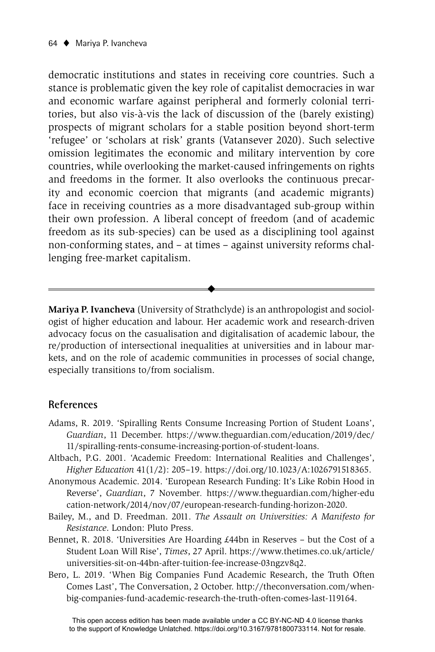democratic institutions and states in receiving core countries. Such a stance is problematic given the key role of capitalist democracies in war and economic warfare against peripheral and formerly colonial territories, but also vis-à-vis the lack of discussion of the (barely existing) prospects of migrant scholars for a stable position beyond short-term 'refugee' or 'scholars at risk' grants (Vatansever 2020). Such selective omission legitimates the economic and military intervention by core countries, while overlooking the market-caused infringements on rights and freedoms in the former. It also overlooks the continuous precarity and economic coercion that migrants (and academic migrants) face in receiving countries as a more disadvantaged sub-group within their own profession. A liberal concept of freedom (and of academic freedom as its sub-species) can be used as a disciplining tool against non-conforming states, and – at times – against university reforms challenging free-market capitalism.

**Mariya P. Ivancheva** (University of Strathclyde) is an anthropologist and sociologist of higher education and labour. Her academic work and research-driven advocacy focus on the casualisation and digitalisation of academic labour, the re/production of intersectional inequalities at universities and in labour markets, and on the role of academic communities in processes of social change, especially transitions to/from socialism.

 $\blacklozenge$ 

#### **References**

- Adams, R. 2019. 'Spiralling Rents Consume Increasing Portion of Student Loans', *Guardian*, 11 December. https://www.theguardian.com/education/2019/dec/ 11/spiralling-rents-consume-increasing-portion-of-student-loans.
- Altbach, P.G. 2001. 'Academic Freedom: International Realities and Challenges', *Higher Education* 41(1/2): 205–19. https://doi.org/10.1023/A:1026791518365.
- Anonymous Academic. 2014. 'European Research Funding: It's Like Robin Hood in Reverse', *Guardian*, 7 November*.* https://www.theguardian.com/higher-edu cation-network/2014/nov/07/european-research-funding-horizon-2020.
- Bailey, M., and D. Freedman. 2011. *The Assault on Universities: A Manifesto for Resistance*. London: Pluto Press.
- Bennet, R. 2018. 'Universities Are Hoarding £44bn in Reserves but the Cost of a Student Loan Will Rise', *Times*, 27 April. https://www.thetimes.co.uk/article/ universities-sit-on-44bn-after-tuition-fee-increase-03ngzv8q2.
- Bero, L. 2019. 'When Big Companies Fund Academic Research, the Truth Often Comes Last', The Conversation, 2 October. http://theconversation.com/whenbig-companies-fund-academic-research-the-truth-often-comes-last-119164.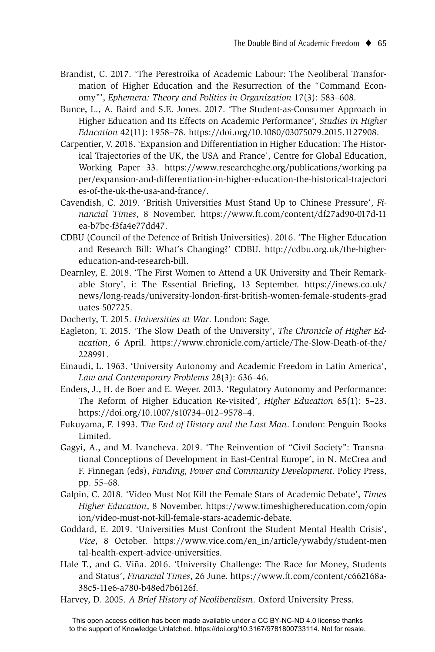- Brandist, C. 2017. 'The Perestroika of Academic Labour: The Neoliberal Transformation of Higher Education and the Resurrection of the "Command Economy"', *Ephemera: Theory and Politics in Organization* 17(3): 583–608.
- Bunce, L., A. Baird and S.E. Jones. 2017. 'The Student-as-Consumer Approach in Higher Education and Its Effects on Academic Performance', *Studies in Higher Education* 42(11): 1958–78. https://doi.org/10.1080/03075079.2015.1127908.
- Carpentier, V. 2018. 'Expansion and Differentiation in Higher Education: The Historical Trajectories of the UK, the USA and France', Centre for Global Education, Working Paper 33. https://www.researchcghe.org/publications/working-pa per/expansion-and-differentiation-in-higher-education-the-historical-trajectori es-of-the-uk-the-usa-and-france/.
- Cavendish, C. 2019. 'British Universities Must Stand Up to Chinese Pressure', *Financial Times*, 8 November. https://www.ft.com/content/df27ad90-017d-11 ea-b7bc-f3fa4e77dd47.
- CDBU (Council of the Defence of British Universities). 2016. 'The Higher Education and Research Bill: What's Changing?' CDBU. http://cdbu.org.uk/the-highereducation-and-research-bill.
- Dearnley, E. 2018. 'The First Women to Attend a UK University and Their Remarkable Story', i: The Essential Briefing, 13 September. https://inews.co.uk/ news/long-reads/university-london-first-british-women-female-students-grad uates-507725.
- Docherty, T. 2015. *Universities at War*. London: Sage.
- Eagleton, T. 2015. 'The Slow Death of the University', *The Chronicle of Higher Education*, 6 April. https://www.chronicle.com/article/The-Slow-Death-of-the/ 228991.
- Einaudi, L. 1963. 'University Autonomy and Academic Freedom in Latin America', *Law and Contemporary Problems* 28(3): 636–46.
- Enders, J., H. de Boer and E. Weyer. 2013. 'Regulatory Autonomy and Performance: The Reform of Higher Education Re-visited', *Higher Education* 65(1): 5–23. https://doi.org/10.1007/s10734–012–9578–4.
- Fukuyama, F. 1993. *The End of History and the Last Man*. London: Penguin Books Limited.
- Gagyi, A., and M. Ivancheva. 2019. 'The Reinvention of "Civil Society": Transnational Conceptions of Development in East-Central Europe', in N. McCrea and F. Finnegan (eds), *Funding, Power and Community Development*. Policy Press, pp. 55–68.
- Galpin, C. 2018. 'Video Must Not Kill the Female Stars of Academic Debate', *Times Higher Education*, 8 November. https://www.timeshighereducation.com/opin ion/video-must-not-kill-female-stars-academic-debate.
- Goddard, E. 2019. 'Universities Must Confront the Student Mental Health Crisis', *Vice*, 8 October. https://www.vice.com/en\_in/article/ywabdy/student-men tal-health-expert-advice-universities.
- Hale T., and G. Viña. 2016. 'University Challenge: The Race for Money, Students and Status', *Financial Times*, 26 June. https://www.ft.com/content/c662168a-38c5-11e6-a780-b48ed7b6126f.
- Harvey, D. 2005. *A Brief History of Neoliberalism*. Oxford University Press.

This open access edition has been made available under a CC BY-NC-ND 4.0 license thanks to the support of Knowledge Unlatched. https://doi.org/10.3167/9781800733114. Not for resale.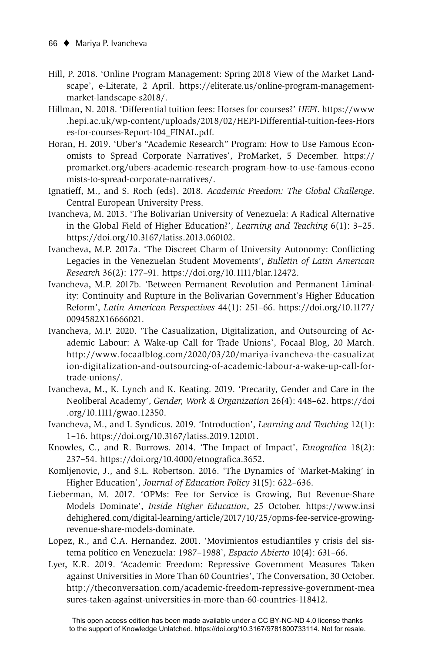- Hill, P. 2018. 'Online Program Management: Spring 2018 View of the Market Landscape', e-Literate, 2 April. https://eliterate.us/online-program-managementmarket-landscape-s2018/.
- Hillman, N. 2018. 'Differential tuition fees: Horses for courses?' *HEPI*. https://www .hepi.ac.uk/wp-content/uploads/2018/02/HEPI-Differential-tuition-fees-Hors es-for-courses-Report-104\_FINAL.pdf.
- Horan, H. 2019. 'Uber's "Academic Research" Program: How to Use Famous Economists to Spread Corporate Narratives', ProMarket, 5 December. https:// promarket.org/ubers-academic-research-program-how-to-use-famous-econo mists-to-spread-corporate-narratives/.
- Ignatieff, M., and S. Roch (eds). 2018. *Academic Freedom: The Global Challenge*. Central European University Press.
- Ivancheva, M. 2013. 'The Bolivarian University of Venezuela: A Radical Alternative in the Global Field of Higher Education?', *Learning and Teaching* 6(1): 3–25. https://doi.org/10.3167/latiss.2013.060102.
- Ivancheva, M.P. 2017a. 'The Discreet Charm of University Autonomy: Conflicting Legacies in the Venezuelan Student Movements', *Bulletin of Latin American Research* 36(2): 177–91. https://doi.org/10.1111/blar.12472.
- Ivancheva, M.P. 2017b. 'Between Permanent Revolution and Permanent Liminality: Continuity and Rupture in the Bolivarian Government's Higher Education Reform', *Latin American Perspectives* 44(1): 251–66. https://doi.org/10.1177/ 0094582X16666021.
- Ivancheva, M.P. 2020. 'The Casualization, Digitalization, and Outsourcing of Academic Labour: A Wake-up Call for Trade Unions', Focaal Blog, 20 March. http://www.focaalblog.com/2020/03/20/mariya-ivancheva-the-casualizat ion-digitalization-and-outsourcing-of-academic-labour-a-wake-up-call-fortrade-unions/.
- Ivancheva, M., K. Lynch and K. Keating. 2019. 'Precarity, Gender and Care in the Neoliberal Academy', *Gender, Work & Organization* 26(4): 448–62. https://doi .org/10.1111/gwao.12350.
- Ivancheva, M., and I. Syndicus. 2019. 'Introduction', *Learning and Teaching* 12(1): 1–16. https://doi.org/10.3167/latiss.2019.120101.
- Knowles, C., and R. Burrows. 2014. 'The Impact of Impact', *Etnografica* 18(2): 237–54. https://doi.org/10.4000/etnografica.3652.
- Komljenovic, J., and S.L. Robertson. 2016. 'The Dynamics of 'Market-Making' in Higher Education', *Journal of Education Policy* 31(5): 622–636.
- Lieberman, M. 2017. 'OPMs: Fee for Service is Growing, But Revenue-Share Models Dominate', *Inside Higher Education*, 25 October. https://www.insi dehighered.com/digital-learning/article/2017/10/25/opms-fee-service-growingrevenue-share-models-dominate.
- Lopez, R., and C.A. Hernandez. 2001. 'Movimientos estudiantiles y crisis del sistema político en Venezuela: 1987–1988', *Espacio Abierto* 10(4): 631–66.
- Lyer, K.R. 2019. 'Academic Freedom: Repressive Government Measures Taken against Universities in More Than 60 Countries', The Conversation, 30 October. http://theconversation.com/academic-freedom-repressive-government-mea sures-taken-against-universities-in-more-than-60-countries-118412.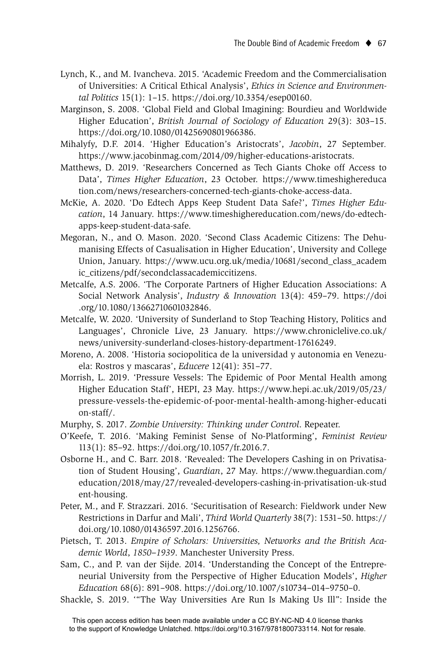- Lynch, K., and M. Ivancheva. 2015. 'Academic Freedom and the Commercialisation of Universities: A Critical Ethical Analysis', *Ethics in Science and Environmental Politics* 15(1): 1–15. https://doi.org/10.3354/esep00160.
- Marginson, S. 2008. 'Global Field and Global Imagining: Bourdieu and Worldwide Higher Education', *British Journal of Sociology of Education* 29(3): 303–15. https://doi.org/10.1080/01425690801966386.
- Mihalyfy, D.F. 2014. 'Higher Education's Aristocrats', *Jacobin*, 27 September*.* https://www.jacobinmag.com/2014/09/higher-educations-aristocrats.
- Matthews, D. 2019. 'Researchers Concerned as Tech Giants Choke off Access to Data', *Times Higher Education*, 23 October. https://www.timeshighereduca tion.com/news/researchers-concerned-tech-giants-choke-access-data.
- McKie, A. 2020. 'Do Edtech Apps Keep Student Data Safe?', *Times Higher Education*, 14 January. https://www.timeshighereducation.com/news/do-edtechapps-keep-student-data-safe.
- Megoran, N., and O. Mason. 2020. 'Second Class Academic Citizens: The Dehumanising Effects of Casualisation in Higher Education', University and College Union, January. https://www.ucu.org.uk/media/10681/second\_class\_academ ic\_citizens/pdf/secondclassacademiccitizens.
- Metcalfe, A.S. 2006. 'The Corporate Partners of Higher Education Associations: A Social Network Analysis', *Industry & Innovation* 13(4): 459–79. https://doi .org/10.1080/13662710601032846.
- Metcalfe, W. 2020. 'University of Sunderland to Stop Teaching History, Politics and Languages', Chronicle Live, 23 January. https://www.chroniclelive.co.uk/ news/university-sunderland-closes-history-department-17616249.
- Moreno, A. 2008. 'Historia sociopolitica de la universidad y autonomia en Venezuela: Rostros y mascaras', *Educere* 12(41): 351–77.
- Morrish, L. 2019. 'Pressure Vessels: The Epidemic of Poor Mental Health among Higher Education Staff', HEPI, 23 May. https://www.hepi.ac.uk/2019/05/23/ pressure-vessels-the-epidemic-of-poor-mental-health-among-higher-educati on-staff/.
- Murphy, S. 2017. *Zombie University: Thinking under Control*. Repeater.
- O'Keefe, T. 2016. 'Making Feminist Sense of No-Platforming', *Feminist Review* 113(1): 85–92. https://doi.org/10.1057/fr.2016.7.
- Osborne H., and C. Barr. 2018. 'Revealed: The Developers Cashing in on Privatisation of Student Housing', *Guardian*, 27 May. https://www.theguardian.com/ education/2018/may/27/revealed-developers-cashing-in-privatisation-uk-stud ent-housing.
- Peter, M., and F. Strazzari. 2016. 'Securitisation of Research: Fieldwork under New Restrictions in Darfur and Mali', *Third World Quarterly* 38(7): 1531–50. https:// doi.org/10.1080/01436597.2016.1256766.
- Pietsch, T. 2013. *Empire of Scholars: Universities, Networks and the British Academic World*, *1850–1939*. Manchester University Press.
- Sam, C., and P. van der Sijde. 2014. 'Understanding the Concept of the Entrepreneurial University from the Perspective of Higher Education Models', *Higher Education* 68(6): 891–908. https://doi.org/10.1007/s10734–014–9750–0.
- Shackle, S. 2019. '"The Way Universities Are Run Is Making Us Ill": Inside the